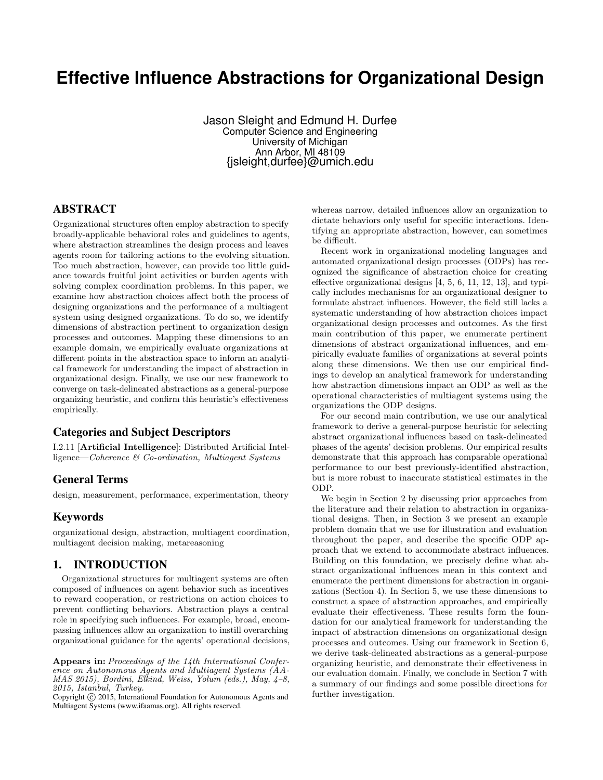# **Effective Influence Abstractions for Organizational Design**

Jason Sleight and Edmund H. Durfee Computer Science and Engineering University of Michigan Ann Arbor, MI 48109 {jsleight,durfee}@umich.edu

# ABSTRACT

Organizational structures often employ abstraction to specify broadly-applicable behavioral roles and guidelines to agents, where abstraction streamlines the design process and leaves agents room for tailoring actions to the evolving situation. Too much abstraction, however, can provide too little guidance towards fruitful joint activities or burden agents with solving complex coordination problems. In this paper, we examine how abstraction choices affect both the process of designing organizations and the performance of a multiagent system using designed organizations. To do so, we identify dimensions of abstraction pertinent to organization design processes and outcomes. Mapping these dimensions to an example domain, we empirically evaluate organizations at different points in the abstraction space to inform an analytical framework for understanding the impact of abstraction in organizational design. Finally, we use our new framework to converge on task-delineated abstractions as a general-purpose organizing heuristic, and confirm this heuristic's effectiveness empirically.

## Categories and Subject Descriptors

I.2.11 [Artificial Intelligence]: Distributed Artificial Intelligence—Coherence & Co-ordination, Multiagent Systems

## General Terms

design, measurement, performance, experimentation, theory

## Keywords

organizational design, abstraction, multiagent coordination, multiagent decision making, metareasoning

## 1. INTRODUCTION

Organizational structures for multiagent systems are often composed of influences on agent behavior such as incentives to reward cooperation, or restrictions on action choices to prevent conflicting behaviors. Abstraction plays a central role in specifying such influences. For example, broad, encompassing influences allow an organization to instill overarching organizational guidance for the agents' operational decisions, whereas narrow, detailed influences allow an organization to dictate behaviors only useful for specific interactions. Identifying an appropriate abstraction, however, can sometimes be difficult.

Recent work in organizational modeling languages and automated organizational design processes (ODPs) has recognized the significance of abstraction choice for creating effective organizational designs [4, 5, 6, 11, 12, 13], and typically includes mechanisms for an organizational designer to formulate abstract influences. However, the field still lacks a systematic understanding of how abstraction choices impact organizational design processes and outcomes. As the first main contribution of this paper, we enumerate pertinent dimensions of abstract organizational influences, and empirically evaluate families of organizations at several points along these dimensions. We then use our empirical findings to develop an analytical framework for understanding how abstraction dimensions impact an ODP as well as the operational characteristics of multiagent systems using the organizations the ODP designs.

For our second main contribution, we use our analytical framework to derive a general-purpose heuristic for selecting abstract organizational influences based on task-delineated phases of the agents' decision problems. Our empirical results demonstrate that this approach has comparable operational performance to our best previously-identified abstraction, but is more robust to inaccurate statistical estimates in the ODP.

We begin in Section 2 by discussing prior approaches from the literature and their relation to abstraction in organizational designs. Then, in Section 3 we present an example problem domain that we use for illustration and evaluation throughout the paper, and describe the specific ODP approach that we extend to accommodate abstract influences. Building on this foundation, we precisely define what abstract organizational influences mean in this context and enumerate the pertinent dimensions for abstraction in organizations (Section 4). In Section 5, we use these dimensions to construct a space of abstraction approaches, and empirically evaluate their effectiveness. These results form the foundation for our analytical framework for understanding the impact of abstraction dimensions on organizational design processes and outcomes. Using our framework in Section 6, we derive task-delineated abstractions as a general-purpose organizing heuristic, and demonstrate their effectiveness in our evaluation domain. Finally, we conclude in Section 7 with a summary of our findings and some possible directions for further investigation.

Appears in: Proceedings of the 14th International Conference on Autonomous Agents and Multiagent Systems (AA-MAS 2015), Bordini, Elkind, Weiss, Yolum (eds.), May, 4–8, 2015, Istanbul, Turkey.

Copyright (C) 2015, International Foundation for Autonomous Agents and Multiagent Systems (www.ifaamas.org). All rights reserved.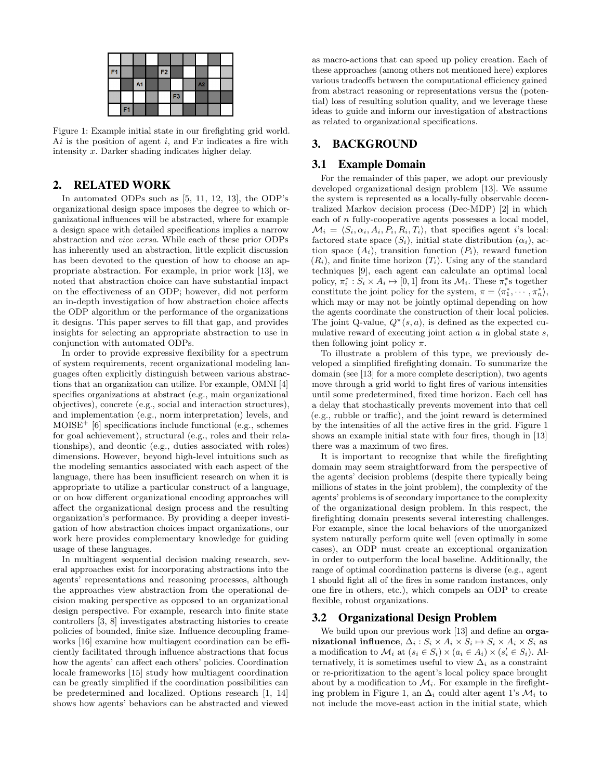| F <sub>1</sub> |                |                | F2 |                |    |  |
|----------------|----------------|----------------|----|----------------|----|--|
|                |                | A <sub>1</sub> |    |                | A2 |  |
|                |                |                |    | F <sub>3</sub> |    |  |
|                | F <sub>1</sub> |                |    |                |    |  |

Figure 1: Example initial state in our firefighting grid world. Ai is the position of agent  $i$ , and  $Fx$  indicates a fire with intensity x. Darker shading indicates higher delay.

## 2. RELATED WORK

In automated ODPs such as [5, 11, 12, 13], the ODP's organizational design space imposes the degree to which organizational influences will be abstracted, where for example a design space with detailed specifications implies a narrow abstraction and vice versa. While each of these prior ODPs has inherently used an abstraction, little explicit discussion has been devoted to the question of how to choose an appropriate abstraction. For example, in prior work [13], we noted that abstraction choice can have substantial impact on the effectiveness of an ODP; however, did not perform an in-depth investigation of how abstraction choice affects the ODP algorithm or the performance of the organizations it designs. This paper serves to fill that gap, and provides insights for selecting an appropriate abstraction to use in conjunction with automated ODPs.

In order to provide expressive flexibility for a spectrum of system requirements, recent organizational modeling languages often explicitly distinguish between various abstractions that an organization can utilize. For example, OMNI [4] specifies organizations at abstract (e.g., main organizational objectives), concrete (e.g., social and interaction structures), and implementation (e.g., norm interpretation) levels, and  $MOISE<sup>+</sup>$  [6] specifications include functional (e.g., schemes for goal achievement), structural (e.g., roles and their relationships), and deontic (e.g., duties associated with roles) dimensions. However, beyond high-level intuitions such as the modeling semantics associated with each aspect of the language, there has been insufficient research on when it is appropriate to utilize a particular construct of a language, or on how different organizational encoding approaches will affect the organizational design process and the resulting organization's performance. By providing a deeper investigation of how abstraction choices impact organizations, our work here provides complementary knowledge for guiding usage of these languages.

In multiagent sequential decision making research, several approaches exist for incorporating abstractions into the agents' representations and reasoning processes, although the approaches view abstraction from the operational decision making perspective as opposed to an organizational design perspective. For example, research into finite state controllers [3, 8] investigates abstracting histories to create policies of bounded, finite size. Influence decoupling frameworks [16] examine how multiagent coordination can be efficiently facilitated through influence abstractions that focus how the agents' can affect each others' policies. Coordination locale frameworks [15] study how multiagent coordination can be greatly simplified if the coordination possibilities can be predetermined and localized. Options research [1, 14] shows how agents' behaviors can be abstracted and viewed

as macro-actions that can speed up policy creation. Each of these approaches (among others not mentioned here) explores various tradeoffs between the computational efficiency gained from abstract reasoning or representations versus the (potential) loss of resulting solution quality, and we leverage these ideas to guide and inform our investigation of abstractions as related to organizational specifications.

# 3. BACKGROUND

## 3.1 Example Domain

For the remainder of this paper, we adopt our previously developed organizational design problem [13]. We assume the system is represented as a locally-fully observable decentralized Markov decision process (Dec-MDP) [2] in which each of n fully-cooperative agents possesses a local model,  $\mathcal{M}_i = \langle S_i, \alpha_i, A_i, P_i, R_i, T_i \rangle$ , that specifies agent i's local: factored state space  $(S_i)$ , initial state distribution  $(\alpha_i)$ , action space  $(A_i)$ , transition function  $(P_i)$ , reward function  $(R_i)$ , and finite time horizon  $(T_i)$ . Using any of the standard techniques [9], each agent can calculate an optimal local policy,  $\pi_i^* : S_i \times A_i \mapsto [0, 1]$  from its  $\mathcal{M}_i$ . These  $\pi_i^*$ s together constitute the joint policy for the system,  $\pi = \langle \pi_1^*, \cdots, \pi_n^* \rangle$ , which may or may not be jointly optimal depending on how the agents coordinate the construction of their local policies. The joint Q-value,  $Q^{\pi}(s, a)$ , is defined as the expected cumulative reward of executing joint action  $\alpha$  in global state  $s$ , then following joint policy  $\pi$ .

To illustrate a problem of this type, we previously developed a simplified firefighting domain. To summarize the domain (see [13] for a more complete description), two agents move through a grid world to fight fires of various intensities until some predetermined, fixed time horizon. Each cell has a delay that stochastically prevents movement into that cell (e.g., rubble or traffic), and the joint reward is determined by the intensities of all the active fires in the grid. Figure 1 shows an example initial state with four fires, though in [13] there was a maximum of two fires.

It is important to recognize that while the firefighting domain may seem straightforward from the perspective of the agents' decision problems (despite there typically being millions of states in the joint problem), the complexity of the agents' problems is of secondary importance to the complexity of the organizational design problem. In this respect, the firefighting domain presents several interesting challenges. For example, since the local behaviors of the unorganized system naturally perform quite well (even optimally in some cases), an ODP must create an exceptional organization in order to outperform the local baseline. Additionally, the range of optimal coordination patterns is diverse (e.g., agent 1 should fight all of the fires in some random instances, only one fire in others, etc.), which compels an ODP to create flexible, robust organizations.

## 3.2 Organizational Design Problem

We build upon our previous work [13] and define an **orga**nizational influence,  $\Delta_i$ :  $S_i \times A_i \times S_i \mapsto S_i \times A_i \times S_i$  as a modification to  $\mathcal{M}_i$  at  $(s_i \in S_i) \times (a_i \in A_i) \times (s'_i \in S_i)$ . Alternatively, it is sometimes useful to view  $\Delta_i$  as a constraint or re-prioritization to the agent's local policy space brought about by a modification to  $\mathcal{M}_i$ . For example in the firefighting problem in Figure 1, an  $\Delta_i$  could alter agent 1's  $\mathcal{M}_i$  to not include the move-east action in the initial state, which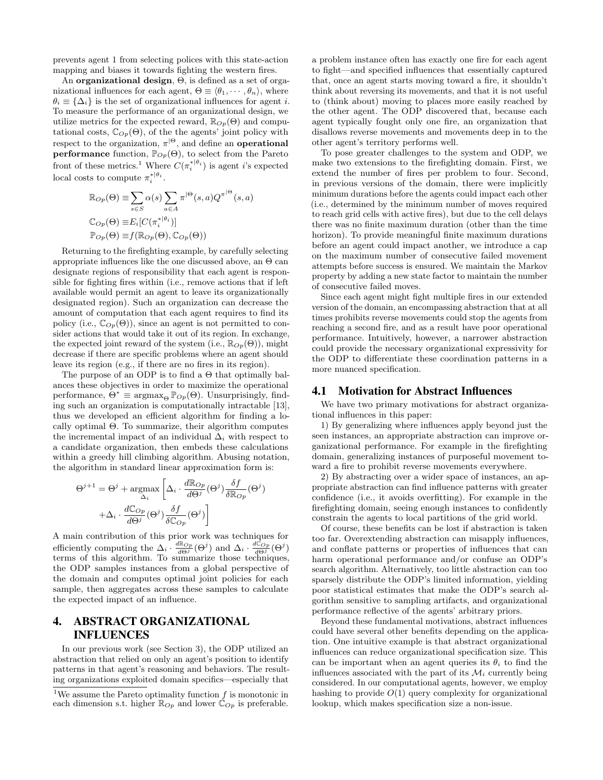prevents agent 1 from selecting polices with this state-action mapping and biases it towards fighting the western fires.

An organizational design, Θ, is defined as a set of organizational influences for each agent,  $\Theta \equiv \langle \theta_1, \cdots, \theta_n \rangle$ , where  $\theta_i \equiv {\{\Delta_i\}}$  is the set of organizational influences for agent *i*. To measure the performance of an organizational design, we utilize metrics for the expected reward,  $\mathbb{R}_{Op}(\Theta)$  and computational costs,  $\mathbb{C}_{Op}(\Theta)$ , of the the agents' joint policy with respect to the organization,  $\pi^{|\Theta}$ , and define an **operational performance** function,  $\mathbb{P}_{Op}(\Theta)$ , to select from the Pareto front of these metrics.<sup>1</sup> Where  $C(\pi_i^{*|\theta_i})$  is agent *i*'s expected local costs to compute  $\pi_i^{*|\theta_i}$ .

$$
\mathbb{R}_{Op}(\Theta) \equiv \sum_{s \in S} \alpha(s) \sum_{a \in A} \pi^{|\Theta}(s, a) Q^{\pi^{|\Theta}}(s, a)
$$

$$
\mathbb{C}_{Op}(\Theta) \equiv E_i[C(\pi_i^{*|\theta_i})]
$$

$$
\mathbb{P}_{Op}(\Theta) \equiv f(\mathbb{R}_{Op}(\Theta), \mathbb{C}_{Op}(\Theta))
$$

Returning to the firefighting example, by carefully selecting appropriate influences like the one discussed above, an  $\Theta$  can designate regions of responsibility that each agent is responsible for fighting fires within (i.e., remove actions that if left available would permit an agent to leave its organizationally designated region). Such an organization can decrease the amount of computation that each agent requires to find its policy (i.e.,  $\mathbb{C}_{Op}(\Theta)$ ), since an agent is not permitted to consider actions that would take it out of its region. In exchange, the expected joint reward of the system (i.e.,  $\mathbb{R}_{Op}(\Theta)$ ), might decrease if there are specific problems where an agent should leave its region (e.g., if there are no fires in its region).

The purpose of an ODP is to find a  $\Theta$  that optimally balances these objectives in order to maximize the operational performance,  $\Theta^* \equiv \text{argmax}_{\Theta} \mathbb{P}_{Op}(\Theta)$ . Unsurprisingly, finding such an organization is computationally intractable [13], thus we developed an efficient algorithm for finding a locally optimal Θ. To summarize, their algorithm computes the incremental impact of an individual  $\Delta_i$  with respect to a candidate organization, then embeds these calculations within a greedy hill climbing algorithm. Abusing notation, the algorithm in standard linear approximation form is:

$$
\Theta^{j+1} = \Theta^j + \underset{\Delta_i}{\text{argmax}} \left[ \Delta_i \cdot \frac{d\mathbb{R}_{Op}}{d\Theta^j} (\Theta^j) \frac{\delta f}{\delta \mathbb{R}_{Op}} (\Theta^j) + \Delta_i \cdot \frac{d\mathbb{C}_{Op}}{d\Theta^j} (\Theta^j) \frac{\delta f}{\delta \mathbb{C}_{Op}} (\Theta^j) \right]
$$

A main contribution of this prior work was techniques for efficiently computing the  $\Delta_i \cdot \frac{d\mathbb{R}_{Op}}{d\Theta^j}(\Theta^j)$  and  $\Delta_i \cdot \frac{d\hat{\mathbb{C}}_{Op}}{d\Theta^j}(\Theta^j)$ terms of this algorithm. To summarize those techniques, the ODP samples instances from a global perspective of the domain and computes optimal joint policies for each sample, then aggregates across these samples to calculate the expected impact of an influence.

# 4. ABSTRACT ORGANIZATIONAL INFLUENCES

In our previous work (see Section 3), the ODP utilized an abstraction that relied on only an agent's position to identify patterns in that agent's reasoning and behaviors. The resulting organizations exploited domain specifics—especially that

a problem instance often has exactly one fire for each agent to fight—and specified influences that essentially captured that, once an agent starts moving toward a fire, it shouldn't think about reversing its movements, and that it is not useful to (think about) moving to places more easily reached by the other agent. The ODP discovered that, because each agent typically fought only one fire, an organization that disallows reverse movements and movements deep in to the other agent's territory performs well.

To pose greater challenges to the system and ODP, we make two extensions to the firefighting domain. First, we extend the number of fires per problem to four. Second, in previous versions of the domain, there were implicitly minimum durations before the agents could impact each other (i.e., determined by the minimum number of moves required to reach grid cells with active fires), but due to the cell delays there was no finite maximum duration (other than the time horizon). To provide meaningful finite maximum durations before an agent could impact another, we introduce a cap on the maximum number of consecutive failed movement attempts before success is ensured. We maintain the Markov property by adding a new state factor to maintain the number of consecutive failed moves.

Since each agent might fight multiple fires in our extended version of the domain, an encompassing abstraction that at all times prohibits reverse movements could stop the agents from reaching a second fire, and as a result have poor operational performance. Intuitively, however, a narrower abstraction could provide the necessary organizational expressivity for the ODP to differentiate these coordination patterns in a more nuanced specification.

#### 4.1 Motivation for Abstract Influences

We have two primary motivations for abstract organizational influences in this paper:

1) By generalizing where influences apply beyond just the seen instances, an appropriate abstraction can improve organizational performance. For example in the firefighting domain, generalizing instances of purposeful movement toward a fire to prohibit reverse movements everywhere.

2) By abstracting over a wider space of instances, an appropriate abstraction can find influence patterns with greater confidence (i.e., it avoids overfitting). For example in the firefighting domain, seeing enough instances to confidently constrain the agents to local partitions of the grid world.

Of course, these benefits can be lost if abstraction is taken too far. Overextending abstraction can misapply influences, and conflate patterns or properties of influences that can harm operational performance and/or confuse an ODP's search algorithm. Alternatively, too little abstraction can too sparsely distribute the ODP's limited information, yielding poor statistical estimates that make the ODP's search algorithm sensitive to sampling artifacts, and organizational performance reflective of the agents' arbitrary priors.

Beyond these fundamental motivations, abstract influences could have several other benefits depending on the application. One intuitive example is that abstract organizational influences can reduce organizational specification size. This can be important when an agent queries its  $\theta_i$  to find the influences associated with the part of its  $\mathcal{M}_i$  currently being considered. In our computational agents, however, we employ hashing to provide  $O(1)$  query complexity for organizational lookup, which makes specification size a non-issue.

<sup>&</sup>lt;sup>1</sup>We assume the Pareto optimality function  $f$  is monotonic in each dimension s.t. higher  $\mathbb{R}_{Op}$  and lower  $\mathbb{C}_{Op}$  is preferable.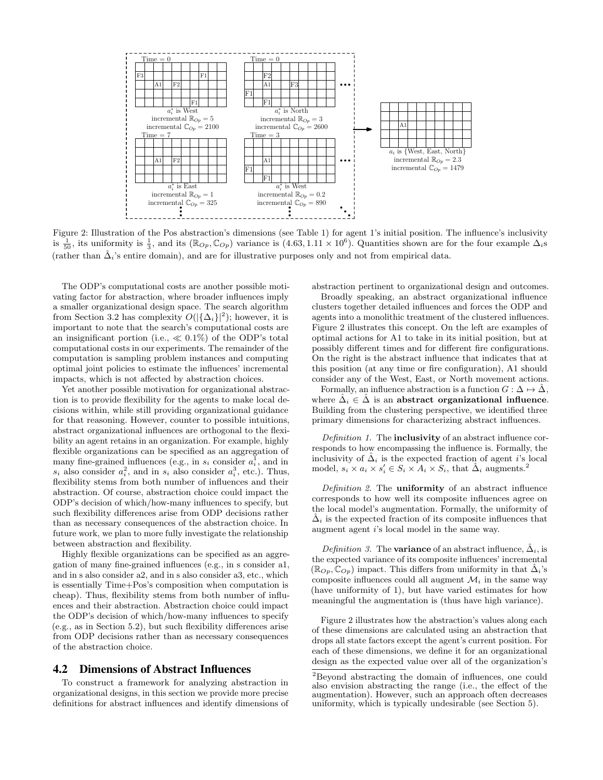

Figure 2: Illustration of the Pos abstraction's dimensions (see Table 1) for agent 1's initial position. The influence's inclusivity is  $\frac{1}{50}$ , its uniformity is  $\frac{1}{3}$ , and its ( $\mathbb{R}_{Op}$ ,  $\mathbb{C}_{Op}$ ) variance is (4.63, 1.11 × 10<sup>6</sup>). Quantities shown are for the four example  $\Delta_i$ s (rather than  $\hat{\Delta}_i$ 's entire domain), and are for illustrative purposes only and not from empirical data.

The ODP's computational costs are another possible motivating factor for abstraction, where broader influences imply a smaller organizational design space. The search algorithm from Section 3.2 has complexity  $O(|\{\Delta_i\}|^2)$ ; however, it is important to note that the search's computational costs are an insignificant portion (i.e.,  $\ll 0.1\%$ ) of the ODP's total computational costs in our experiments. The remainder of the computation is sampling problem instances and computing optimal joint policies to estimate the influences' incremental impacts, which is not affected by abstraction choices.

Yet another possible motivation for organizational abstraction is to provide flexibility for the agents to make local decisions within, while still providing organizational guidance for that reasoning. However, counter to possible intuitions, abstract organizational influences are orthogonal to the flexibility an agent retains in an organization. For example, highly flexible organizations can be specified as an aggregation of many fine-grained influences (e.g., in  $s_i$  consider  $a_i^{\overline{1}}$ , and in  $s_i$  also consider  $a_i^2$ , and in  $s_i$  also consider  $a_i^3$ , etc.). Thus, flexibility stems from both number of influences and their abstraction. Of course, abstraction choice could impact the ODP's decision of which/how-many influences to specify, but such flexibility differences arise from ODP decisions rather than as necessary consequences of the abstraction choice. In future work, we plan to more fully investigate the relationship between abstraction and flexibility.

Highly flexible organizations can be specified as an aggregation of many fine-grained influences (e.g., in s consider a1, and in s also consider a2, and in s also consider a3, etc., which is essentially Time+Pos's composition when computation is cheap). Thus, flexibility stems from both number of influences and their abstraction. Abstraction choice could impact the ODP's decision of which/how-many influences to specify (e.g., as in Section 5.2), but such flexibility differences arise from ODP decisions rather than as necessary consequences of the abstraction choice.

#### 4.2 Dimensions of Abstract Influences

To construct a framework for analyzing abstraction in organizational designs, in this section we provide more precise definitions for abstract influences and identify dimensions of abstraction pertinent to organizational design and outcomes.

Broadly speaking, an abstract organizational influence clusters together detailed influences and forces the ODP and agents into a monolithic treatment of the clustered influences. Figure 2 illustrates this concept. On the left are examples of optimal actions for A1 to take in its initial position, but at possibly different times and for different fire configurations. On the right is the abstract influence that indicates that at this position (at any time or fire configuration), A1 should consider any of the West, East, or North movement actions.

Formally, an influence abstraction is a function  $G: \Delta \mapsto \Delta$ , where  $\hat{\Delta}_i \in \hat{\Delta}$  is an abstract organizational influence. Building from the clustering perspective, we identified three primary dimensions for characterizing abstract influences.

Definition 1. The **inclusivity** of an abstract influence corresponds to how encompassing the influence is. Formally, the inclusivity of  $\Delta_i$  is the expected fraction of agent *i*'s local model,  $s_i \times a_i \times s'_i \in S_i \times A_i \times S_i$ , that  $\hat{\Delta}_i$  augments.<sup>2</sup>

Definition 2. The **uniformity** of an abstract influence corresponds to how well its composite influences agree on the local model's augmentation. Formally, the uniformity of  $\tilde{\Delta}_i$  is the expected fraction of its composite influences that augment agent i's local model in the same way.

Definition 3. The **variance** of an abstract influence,  $\Delta_i$ , is the expected variance of its composite influences' incremental  $(\mathbb{R}_{On}, \mathbb{C}_{On})$  impact. This differs from uniformity in that  $\tilde{\Delta}_i$ 's composite influences could all augment  $\mathcal{M}_i$  in the same way (have uniformity of 1), but have varied estimates for how meaningful the augmentation is (thus have high variance).

Figure 2 illustrates how the abstraction's values along each of these dimensions are calculated using an abstraction that drops all state factors except the agent's current position. For each of these dimensions, we define it for an organizational design as the expected value over all of the organization's

<sup>2</sup>Beyond abstracting the domain of influences, one could also envision abstracting the range (i.e., the effect of the augmentation). However, such an approach often decreases uniformity, which is typically undesirable (see Section 5).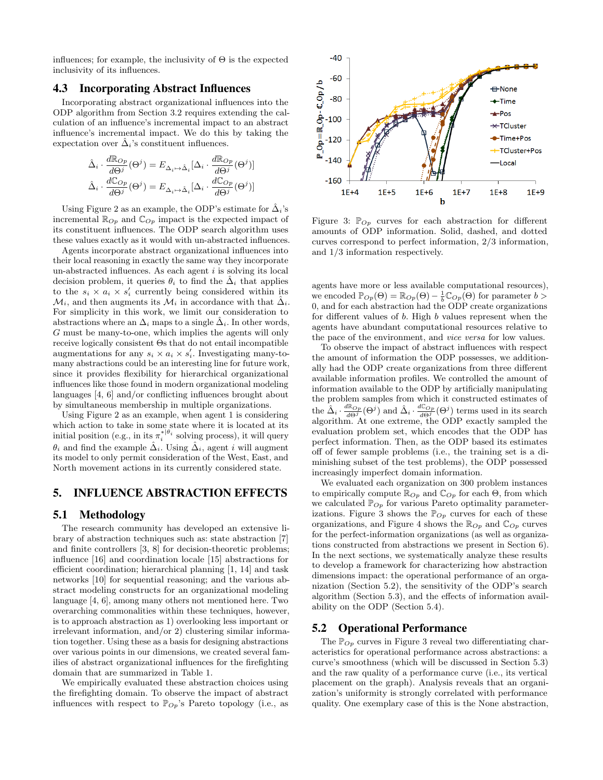influences; for example, the inclusivity of  $\Theta$  is the expected inclusivity of its influences.

## 4.3 Incorporating Abstract Influences

Incorporating abstract organizational influences into the ODP algorithm from Section 3.2 requires extending the calculation of an influence's incremental impact to an abstract influence's incremental impact. We do this by taking the expectation over  $\tilde{\Delta}_i$ 's constituent influences.

$$
\hat{\Delta}_{i} \cdot \frac{d\mathbb{R}_{Op}}{d\Theta^{j}}(\Theta^{j}) = E_{\Delta_{i}\mapsto\hat{\Delta}_{i}}[\Delta_{i} \cdot \frac{d\mathbb{R}_{Op}}{d\Theta^{j}}(\Theta^{j})]
$$

$$
\hat{\Delta}_{i} \cdot \frac{d\mathbb{C}_{Op}}{d\Theta^{j}}(\Theta^{j}) = E_{\Delta_{i}\mapsto\hat{\Delta}_{i}}[\Delta_{i} \cdot \frac{d\mathbb{C}_{Op}}{d\Theta^{j}}(\Theta^{j})]
$$

Using Figure 2 as an example, the ODP's estimate for  $\tilde{\Delta}_i$ 's incremental  $\mathbb{R}_{Op}$  and  $\mathbb{C}_{Op}$  impact is the expected impact of its constituent influences. The ODP search algorithm uses these values exactly as it would with un-abstracted influences.

Agents incorporate abstract organizational influences into their local reasoning in exactly the same way they incorporate un-abstracted influences. As each agent  $i$  is solving its local decision problem, it queries  $\theta_i$  to find the  $\hat{\Delta}_i$  that applies to the  $s_i \times a_i \times s'_i$  currently being considered within its  $\mathcal{M}_i$ , and then augments its  $\mathcal{M}_i$  in accordance with that  $\hat{\Delta}_i$ . For simplicity in this work, we limit our consideration to abstractions where an  $\Delta_i$  maps to a single  $\hat{\Delta}_i$ . In other words, G must be many-to-one, which implies the agents will only receive logically consistent Θs that do not entail incompatible augmentations for any  $s_i \times a_i \times s'_i$ . Investigating many-tomany abstractions could be an interesting line for future work, since it provides flexibility for hierarchical organizational influences like those found in modern organizational modeling languages [4, 6] and/or conflicting influences brought about by simultaneous membership in multiple organizations.

Using Figure 2 as an example, when agent 1 is considering which action to take in some state where it is located at its initial position (e.g., in its  $\pi_i^{*|\theta_i}$  solving process), it will query  $\theta_i$  and find the example  $\hat{\Delta}_i$ . Using  $\hat{\Delta}_i$ , agent i will augment its model to only permit consideration of the West, East, and North movement actions in its currently considered state.

#### 5. INFLUENCE ABSTRACTION EFFECTS

#### 5.1 Methodology

The research community has developed an extensive library of abstraction techniques such as: state abstraction [7] and finite controllers [3, 8] for decision-theoretic problems; influence [16] and coordination locale [15] abstractions for efficient coordination; hierarchical planning [1, 14] and task networks [10] for sequential reasoning; and the various abstract modeling constructs for an organizational modeling language [4, 6], among many others not mentioned here. Two overarching commonalities within these techniques, however, is to approach abstraction as 1) overlooking less important or irrelevant information, and/or 2) clustering similar information together. Using these as a basis for designing abstractions over various points in our dimensions, we created several families of abstract organizational influences for the firefighting domain that are summarized in Table 1.

We empirically evaluated these abstraction choices using the firefighting domain. To observe the impact of abstract influences with respect to  $\mathbb{P}_{Op}$ 's Pareto topology (i.e., as



Figure 3:  $\mathbb{P}_{Op}$  curves for each abstraction for different amounts of ODP information. Solid, dashed, and dotted curves correspond to perfect information, 2/3 information, and 1/3 information respectively.

agents have more or less available computational resources), we encoded  $\mathbb{P}_{Op}(\Theta) = \mathbb{R}_{Op}(\Theta) - \frac{1}{b}\mathbb{C}_{Op}(\Theta)$  for parameter  $b >$ 0, and for each abstraction had the ODP create organizations for different values of b. High b values represent when the agents have abundant computational resources relative to the pace of the environment, and vice versa for low values.

To observe the impact of abstract influences with respect the amount of information the ODP possesses, we additionally had the ODP create organizations from three different available information profiles. We controlled the amount of information available to the ODP by artificially manipulating the problem samples from which it constructed estimates of the  $\hat{\Delta}_i \cdot \frac{d\mathbb{R}_{Op}}{d\Theta^j}(\Theta^j)$  and  $\hat{\Delta}_i \cdot \frac{d\mathbb{C}_{Op}}{d\Theta^j}(\Theta^j)$  terms used in its search algorithm. At one extreme, the ODP exactly sampled the evaluation problem set, which encodes that the ODP has perfect information. Then, as the ODP based its estimates off of fewer sample problems (i.e., the training set is a diminishing subset of the test problems), the ODP possessed increasingly imperfect domain information.

We evaluated each organization on 300 problem instances to empirically compute  $\mathbb{R}_{Op}$  and  $\mathbb{C}_{Op}$  for each  $\Theta$ , from which we calculated  $\mathbb{P}_{Op}$  for various Pareto optimality parameterizations. Figure 3 shows the  $\mathbb{P}_{Op}$  curves for each of these organizations, and Figure 4 shows the  $\mathbb{R}_{Op}$  and  $\mathbb{C}_{Op}$  curves for the perfect-information organizations (as well as organizations constructed from abstractions we present in Section 6). In the next sections, we systematically analyze these results to develop a framework for characterizing how abstraction dimensions impact: the operational performance of an organization (Section 5.2), the sensitivity of the ODP's search algorithm (Section 5.3), and the effects of information availability on the ODP (Section 5.4).

## 5.2 Operational Performance

The  $\mathbb{P}_{Op}$  curves in Figure 3 reveal two differentiating characteristics for operational performance across abstractions: a curve's smoothness (which will be discussed in Section 5.3) and the raw quality of a performance curve (i.e., its vertical placement on the graph). Analysis reveals that an organization's uniformity is strongly correlated with performance quality. One exemplary case of this is the None abstraction,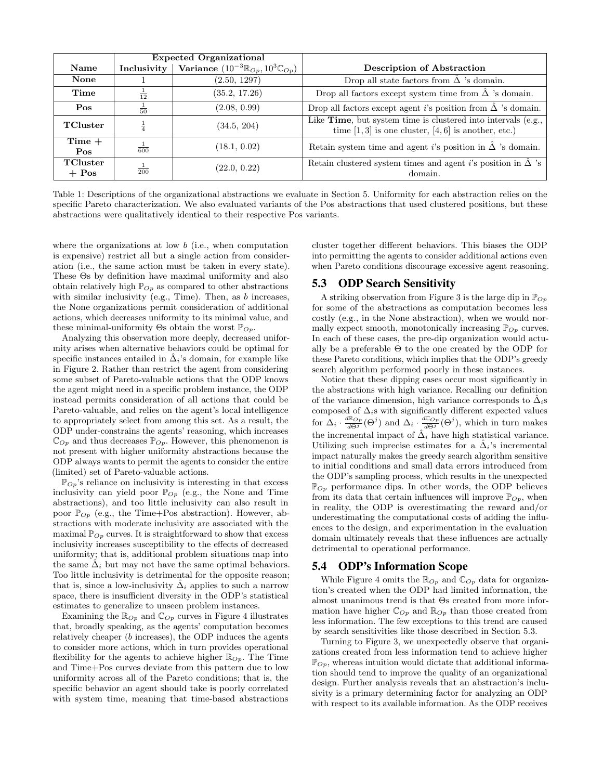|                     |                  | <b>Expected Organizational</b>                             |                                                                                                                         |
|---------------------|------------------|------------------------------------------------------------|-------------------------------------------------------------------------------------------------------------------------|
| Name                | Inclusivity      | Variance $(10^{-3} \mathbb{R}_{Op}, 10^3 \mathbb{C}_{Op})$ | Description of Abstraction                                                                                              |
| <b>None</b>         |                  | (2.50, 1297)                                               | Drop all state factors from $\hat{\Delta}$ 's domain.                                                                   |
| Time                | $\frac{1}{12}$   | (35.2, 17.26)                                              | Drop all factors except system time from $\hat{\Delta}$ 's domain.                                                      |
| Pos                 | $\frac{1}{50}$   | (2.08, 0.99)                                               | Drop all factors except agent <i>i</i> 's position from $\hat{\Delta}$ 's domain.                                       |
| TCluster            |                  | (34.5, 204)                                                | Like Time, but system time is clustered into intervals (e.g.,<br>time $[1,3]$ is one cluster, $[4,6]$ is another, etc.) |
| $Time +$<br>Pos     | $\frac{1}{600}$  | (18.1, 0.02)                                               | Retain system time and agent i's position in $\hat{\Delta}$ 's domain.                                                  |
| TCluster<br>$+$ Pos | $\overline{200}$ | (22.0, 0.22)                                               | Retain clustered system times and agent i's position in $\hat{\Delta}$ 's<br>domain.                                    |

Table 1: Descriptions of the organizational abstractions we evaluate in Section 5. Uniformity for each abstraction relies on the specific Pareto characterization. We also evaluated variants of the Pos abstractions that used clustered positions, but these abstractions were qualitatively identical to their respective Pos variants.

where the organizations at low  $b$  (i.e., when computation is expensive) restrict all but a single action from consideration (i.e., the same action must be taken in every state). These Θs by definition have maximal uniformity and also obtain relatively high  $\mathbb{P}_{Op}$  as compared to other abstractions with similar inclusivity (e.g., Time). Then, as  $b$  increases, the None organizations permit consideration of additional actions, which decreases uniformity to its minimal value, and these minimal-uniformity  $\Theta$ s obtain the worst  $\mathbb{P}_{Op}$ .

Analyzing this observation more deeply, decreased uniformity arises when alternative behaviors could be optimal for specific instances entailed in  $\hat{\Delta}_i$ 's domain, for example like in Figure 2. Rather than restrict the agent from considering some subset of Pareto-valuable actions that the ODP knows the agent might need in a specific problem instance, the ODP instead permits consideration of all actions that could be Pareto-valuable, and relies on the agent's local intelligence to appropriately select from among this set. As a result, the ODP under-constrains the agents' reasoning, which increases  $\mathbb{C}_{Op}$  and thus decreases  $\mathbb{P}_{Op}$ . However, this phenomenon is not present with higher uniformity abstractions because the ODP always wants to permit the agents to consider the entire (limited) set of Pareto-valuable actions.

 $\mathbb{P}_{Op}$ 's reliance on inclusivity is interesting in that excess inclusivity can yield poor  $\mathbb{P}_{Op}$  (e.g., the None and Time abstractions), and too little inclusivity can also result in poor  $\mathbb{P}_{Op}$  (e.g., the Time+Pos abstraction). However, abstractions with moderate inclusivity are associated with the maximal  $\mathbb{P}_{Op}$  curves. It is straightforward to show that excess inclusivity increases susceptibility to the effects of decreased uniformity; that is, additional problem situations map into the same  $\hat{\Delta}_i$  but may not have the same optimal behaviors. Too little inclusivity is detrimental for the opposite reason; that is, since a low-inclusivity  $\hat{\Delta}_i$  applies to such a narrow space, there is insufficient diversity in the ODP's statistical estimates to generalize to unseen problem instances.

Examining the  $\mathbb{R}_{Op}$  and  $\mathbb{C}_{Op}$  curves in Figure 4 illustrates that, broadly speaking, as the agents' computation becomes relatively cheaper (b increases), the ODP induces the agents to consider more actions, which in turn provides operational flexibility for the agents to achieve higher  $\mathbb{R}_{On}$ . The Time and Time+Pos curves deviate from this pattern due to low uniformity across all of the Pareto conditions; that is, the specific behavior an agent should take is poorly correlated with system time, meaning that time-based abstractions cluster together different behaviors. This biases the ODP into permitting the agents to consider additional actions even when Pareto conditions discourage excessive agent reasoning.

#### 5.3 ODP Search Sensitivity

A striking observation from Figure 3 is the large dip in  $\mathbb{P}_{Op}$ for some of the abstractions as computation becomes less costly (e.g., in the None abstraction), when we would normally expect smooth, monotonically increasing  $\mathbb{P}_{Op}$  curves. In each of these cases, the pre-dip organization would actually be a preferable  $\Theta$  to the one created by the ODP for these Pareto conditions, which implies that the ODP's greedy search algorithm performed poorly in these instances.

Notice that these dipping cases occur most significantly in the abstractions with high variance. Recalling our definition of the variance dimension, high variance corresponds to  $\hat{\Delta}_i$ s composed of  $\Delta_i$ s with significantly different expected values for  $\Delta_i \cdot \frac{d\mathbb{R}_{Op}}{d\Theta^j}(\Theta^j)$  and  $\Delta_i \cdot \frac{d\mathbb{C}_{Op}}{d\Theta^j}(\Theta^j)$ , which in turn makes the incremental impact of  $\hat{\Delta}_i$  have high statistical variance. Utilizing such imprecise estimates for a  $\Delta_i$ 's incremental impact naturally makes the greedy search algorithm sensitive to initial conditions and small data errors introduced from the ODP's sampling process, which results in the unexpected  $\mathbb{P}_{Op}$  performance dips. In other words, the ODP believes from its data that certain influences will improve  $\mathbb{P}_{Op}$ , when in reality, the ODP is overestimating the reward and/or underestimating the computational costs of adding the influences to the design, and experimentation in the evaluation domain ultimately reveals that these influences are actually detrimental to operational performance.

#### 5.4 ODP's Information Scope

While Figure 4 omits the  $\mathbb{R}_{Op}$  and  $\mathbb{C}_{Op}$  data for organization's created when the ODP had limited information, the almost unanimous trend is that Θs created from more information have higher  $\mathbb{C}_{Op}$  and  $\mathbb{R}_{Op}$  than those created from less information. The few exceptions to this trend are caused by search sensitivities like those described in Section 5.3.

Turning to Figure 3, we unexpectedly observe that organizations created from less information tend to achieve higher  $\mathbb{P}_{Op}$ , whereas intuition would dictate that additional information should tend to improve the quality of an organizational design. Further analysis reveals that an abstraction's inclusivity is a primary determining factor for analyzing an ODP with respect to its available information. As the ODP receives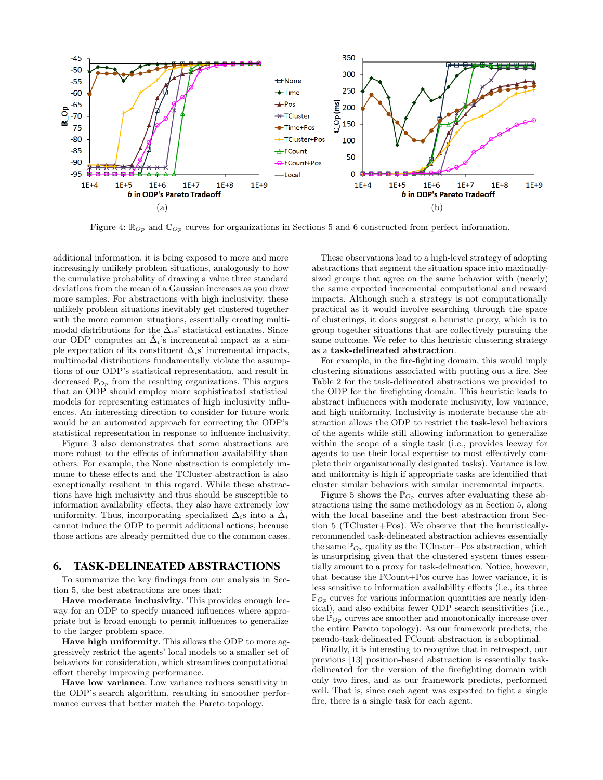

Figure 4:  $\mathbb{R}_{Op}$  and  $\mathbb{C}_{Op}$  curves for organizations in Sections 5 and 6 constructed from perfect information.

additional information, it is being exposed to more and more increasingly unlikely problem situations, analogously to how the cumulative probability of drawing a value three standard deviations from the mean of a Gaussian increases as you draw more samples. For abstractions with high inclusivity, these unlikely problem situations inevitably get clustered together with the more common situations, essentially creating multimodal distributions for the  $\hat{\Delta}_i$ s' statistical estimates. Since our ODP computes an  $\hat{\Delta}_i$ 's incremental impact as a simple expectation of its constituent  $\Delta_i$ s' incremental impacts, multimodal distributions fundamentally violate the assumptions of our ODP's statistical representation, and result in decreased  $\mathbb{P}_{Op}$  from the resulting organizations. This argues that an ODP should employ more sophisticated statistical models for representing estimates of high inclusivity influences. An interesting direction to consider for future work would be an automated approach for correcting the ODP's statistical representation in response to influence inclusivity.

Figure 3 also demonstrates that some abstractions are more robust to the effects of information availability than others. For example, the None abstraction is completely immune to these effects and the TCluster abstraction is also exceptionally resilient in this regard. While these abstractions have high inclusivity and thus should be susceptible to information availability effects, they also have extremely low uniformity. Thus, incorporating specialized  $\Delta_i$ s into a  $\hat{\Delta}_i$ cannot induce the ODP to permit additional actions, because those actions are already permitted due to the common cases.

## 6. TASK-DELINEATED ABSTRACTIONS

To summarize the key findings from our analysis in Section 5, the best abstractions are ones that:

Have moderate inclusivity. This provides enough leeway for an ODP to specify nuanced influences where appropriate but is broad enough to permit influences to generalize to the larger problem space.

Have high uniformity. This allows the ODP to more aggressively restrict the agents' local models to a smaller set of behaviors for consideration, which streamlines computational effort thereby improving performance.

Have low variance. Low variance reduces sensitivity in the ODP's search algorithm, resulting in smoother performance curves that better match the Pareto topology.

These observations lead to a high-level strategy of adopting abstractions that segment the situation space into maximallysized groups that agree on the same behavior with (nearly) the same expected incremental computational and reward impacts. Although such a strategy is not computationally practical as it would involve searching through the space of clusterings, it does suggest a heuristic proxy, which is to group together situations that are collectively pursuing the same outcome. We refer to this heuristic clustering strategy as a task-delineated abstraction.

For example, in the fire-fighting domain, this would imply clustering situations associated with putting out a fire. See Table 2 for the task-delineated abstractions we provided to the ODP for the firefighting domain. This heuristic leads to abstract influences with moderate inclusivity, low variance, and high uniformity. Inclusivity is moderate because the abstraction allows the ODP to restrict the task-level behaviors of the agents while still allowing information to generalize within the scope of a single task (i.e., provides leeway for agents to use their local expertise to most effectively complete their organizationally designated tasks). Variance is low and uniformity is high if appropriate tasks are identified that cluster similar behaviors with similar incremental impacts.

Figure 5 shows the  $\mathbb{P}_{Op}$  curves after evaluating these abstractions using the same methodology as in Section 5, along with the local baseline and the best abstraction from Section 5 (TCluster+Pos). We observe that the heuristicallyrecommended task-delineated abstraction achieves essentially the same  $\mathbb{P}_{Op}$  quality as the TCluster+Pos abstraction, which is unsurprising given that the clustered system times essentially amount to a proxy for task-delineation. Notice, however, that because the FCount+Pos curve has lower variance, it is less sensitive to information availability effects (i.e., its three  $\mathbb{P}_{Op}$  curves for various information quantities are nearly identical), and also exhibits fewer ODP search sensitivities (i.e., the  $\mathbb{P}_{Op}$  curves are smoother and monotonically increase over the entire Pareto topology). As our framework predicts, the pseudo-task-delineated FCount abstraction is suboptimal.

Finally, it is interesting to recognize that in retrospect, our previous [13] position-based abstraction is essentially taskdelineated for the version of the firefighting domain with only two fires, and as our framework predicts, performed well. That is, since each agent was expected to fight a single fire, there is a single task for each agent.